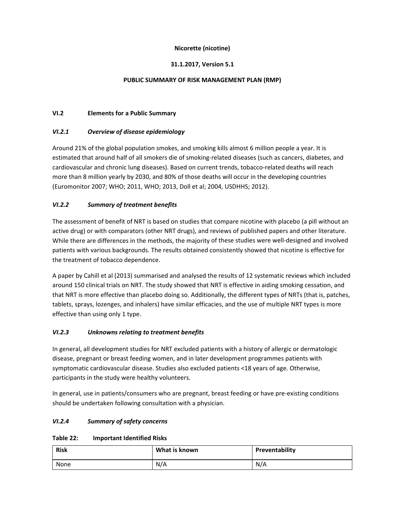## **Nicorette (nicotine)**

## **31.1.2017, Version 5.1**

## **PUBLIC SUMMARY OF RISK MANAGEMENT PLAN (RMP)**

## **VI.2 Elements for a Public Summary**

## *VI.2.1 Overview of disease epidemiology*

Around 21% of the global population smokes, and smoking kills almost 6 million people a year. It is estimated that around half of all smokers die of smoking‐related diseases (such as cancers, diabetes, and cardiovascular and chronic lung diseases). Based on current trends, tobacco-related deaths will reach more than 8 million yearly by 2030, and 80% of those deaths will occur in the developing countries (Euromonitor 2007; WHO; 2011, WHO; 2013, Doll et al; 2004, USDHHS; 2012).

# *VI.2.2 Summary of treatment benefits*

The assessment of benefit of NRT is based on studies that compare nicotine with placebo (a pill without an active drug) or with comparators (other NRT drugs), and reviews of published papers and other literature. While there are differences in the methods, the majority of these studies were well‐designed and involved patients with various backgrounds. The results obtained consistently showed that nicotine is effective for the treatment of tobacco dependence.

A paper by Cahill et al (2013) summarised and analysed the results of 12 systematic reviews which included around 150 clinical trials on NRT. The study showed that NRT is effective in aiding smoking cessation, and that NRT is more effective than placebo doing so. Additionally, the different types of NRTs (that is, patches, tablets, sprays, lozenges, and inhalers) have similar efficacies, and the use of multiple NRT types is more effective than using only 1 type.

# *VI.2.3 Unknowns relating to treatment benefits*

In general, all development studies for NRT excluded patients with a history of allergic or dermatologic disease, pregnant or breast feeding women, and in later development programmes patients with symptomatic cardiovascular disease. Studies also excluded patients <18 years of age. Otherwise, participants in the study were healthy volunteers.

In general, use in patients/consumers who are pregnant, breast feeding or have pre‐existing conditions should be undertaken following consultation with a physician.

# *VI.2.4 Summary of safety concerns*

#### **Table 22: Important Identified Risks**

| <b>Risk</b> | What is known | Preventability |
|-------------|---------------|----------------|
| None        | N/A           | N/A            |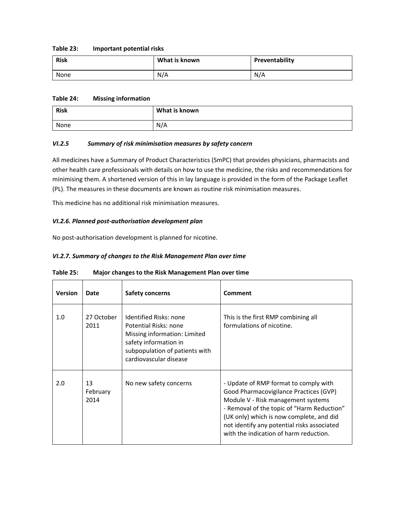#### **Table 23: Important potential risks**

| <b>Risk</b> | What is known | Preventability |
|-------------|---------------|----------------|
| None        | N/A           | N/A            |

### **Table 24: Missing information**

| <b>Risk</b> | What is known |
|-------------|---------------|
| None        | N/A           |

## *VI.2.5 Summary of risk minimisation measures by safety concern*

All medicines have a Summary of Product Characteristics (SmPC) that provides physicians, pharmacists and other health care professionals with details on how to use the medicine, the risks and recommendations for minimising them. A shortened version of this in lay language is provided in the form of the Package Leaflet (PL). The measures in these documents are known as routine risk minimisation measures.

This medicine has no additional risk minimisation measures.

#### *VI.2.6. Planned post‐authorisation development plan*

No post‐authorisation development is planned for nicotine.

#### *VI.2.7. Summary of changes to the Risk Management Plan over time*

| <b>Version</b> | Date                   | <b>Safety concerns</b>                                                                                                                                               | Comment                                                                                                                                                                                                                                                                                                  |
|----------------|------------------------|----------------------------------------------------------------------------------------------------------------------------------------------------------------------|----------------------------------------------------------------------------------------------------------------------------------------------------------------------------------------------------------------------------------------------------------------------------------------------------------|
| 1.0            | 27 October<br>2011     | Identified Risks: none<br>Potential Risks: none<br>Missing information: Limited<br>safety information in<br>subpopulation of patients with<br>cardiovascular disease | This is the first RMP combining all<br>formulations of nicotine.                                                                                                                                                                                                                                         |
| 2.0            | 13<br>February<br>2014 | No new safety concerns                                                                                                                                               | - Update of RMP format to comply with<br>Good Pharmacovigilance Practices (GVP)<br>Module V - Risk management systems<br>- Removal of the topic of "Harm Reduction"<br>(UK only) which is now complete, and did<br>not identify any potential risks associated<br>with the indication of harm reduction. |

### **Table 25: Major changes to the Risk Management Plan over time**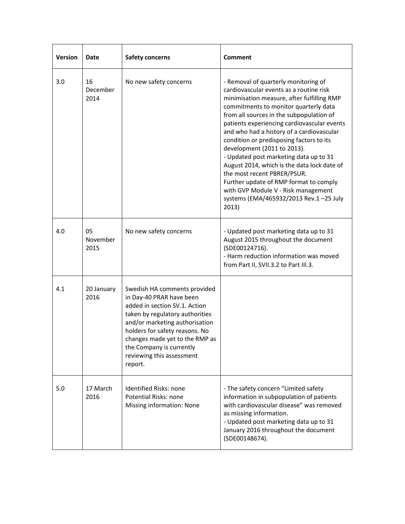| <b>Version</b> | Date                   | <b>Safety concerns</b>                                                                                                                                                                                                                                                                                 | <b>Comment</b>                                                                                                                                                                                                                                                                                                                                                                                                                                                                                                                                                                                                                                        |
|----------------|------------------------|--------------------------------------------------------------------------------------------------------------------------------------------------------------------------------------------------------------------------------------------------------------------------------------------------------|-------------------------------------------------------------------------------------------------------------------------------------------------------------------------------------------------------------------------------------------------------------------------------------------------------------------------------------------------------------------------------------------------------------------------------------------------------------------------------------------------------------------------------------------------------------------------------------------------------------------------------------------------------|
| 3.0            | 16<br>December<br>2014 | No new safety concerns                                                                                                                                                                                                                                                                                 | - Removal of quarterly monitoring of<br>cardiovascular events as a routine risk<br>minimisation measure, after fulfilling RMP<br>commitments to monitor quarterly data<br>from all sources in the subpopulation of<br>patients experiencing cardiovascular events<br>and who had a history of a cardiovascular<br>condition or predisposing factors to its<br>development (2011 to 2013).<br>- Updated post marketing data up to 31<br>August 2014, which is the data lock date of<br>the most recent PBRER/PSUR.<br>Further update of RMP format to comply<br>with GVP Module V - Risk management<br>systems (EMA/465932/2013 Rev.1-25 July<br>2013) |
| 4.0            | 05<br>November<br>2015 | No new safety concerns                                                                                                                                                                                                                                                                                 | - Updated post marketing data up to 31<br>August 2015 throughout the document<br>(SDE00124716).<br>- Harm reduction information was moved<br>from Part II, SVII.3.2 to Part III.3.                                                                                                                                                                                                                                                                                                                                                                                                                                                                    |
| 4.1            | 20 January<br>2016     | Swedish HA comments provided<br>in Day-40 PRAR have been<br>added in section SV.1. Action<br>taken by regulatory authorities<br>and/or marketing authorisation<br>holders for safety reasons. No<br>changes made yet to the RMP as<br>the Company is currently<br>reviewing this assessment<br>report. |                                                                                                                                                                                                                                                                                                                                                                                                                                                                                                                                                                                                                                                       |
| 5.0            | 17 March<br>2016       | <b>Identified Risks: none</b><br>Potential Risks: none<br>Missing information: None                                                                                                                                                                                                                    | - The safety concern "Limited safety<br>information in subpopulation of patients<br>with cardiovascular disease" was removed<br>as missing information.<br>- Updated post marketing data up to 31<br>January 2016 throughout the document<br>(SDE00148674).                                                                                                                                                                                                                                                                                                                                                                                           |